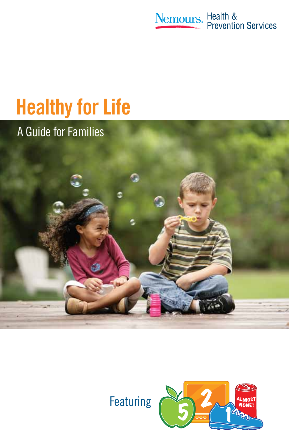

# **Healthy for Life**

A Guide for Families



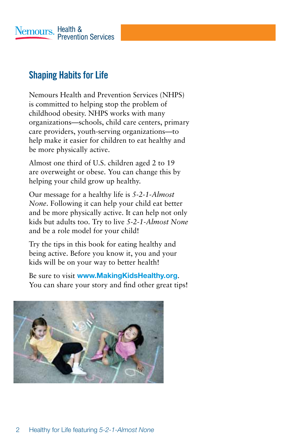

# **Shaping Habits for Life**

Nemours Health and Prevention Services (NHPS) is committed to helping stop the problem of childhood obesity. NHPS works with many organizations—schools, child care centers, primary care providers, youth-serving organizations—to help make it easier for children to eat healthy and be more physically active.

Almost one third of U.S. children aged 2 to 19 are overweight or obese. You can change this by helping your child grow up healthy.

Our message for a healthy life is *5-2-1-Almost None*. Following it can help your child eat better and be more physically active. It can help not only kids but adults too. Try to live *5-2-1-Almost None* and be a role model for your child!

Try the tips in this book for eating healthy and being active. Before you know it, you and your kids will be on your way to better health!

Be sure to visit **www.MakingKidsHealthy.org**. You can share your story and find other great tips!

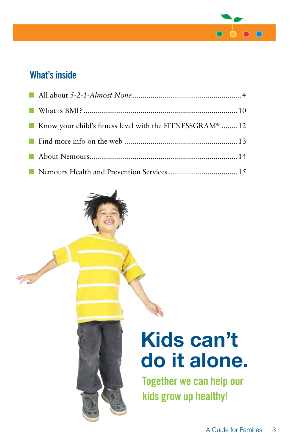

# **What's inside**

 $\overline{z}$ 

| Know your child's fitness level with the FITNESSGRAM® 12 |  |
|----------------------------------------------------------|--|
|                                                          |  |
|                                                          |  |
|                                                          |  |



**Together we can help our kids grow up healthy!**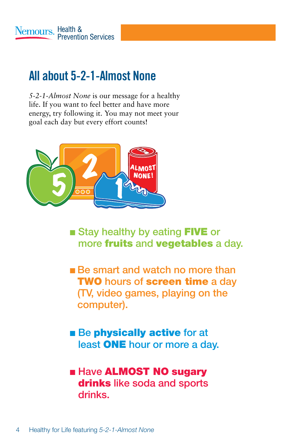# **All about 5-2-1-Almost None**

*5-2-1-Almost None* is our message for a healthy life. If you want to feel better and have more energy, try following it. You may not meet your goal each day but every effort counts!



- **Example 3 Stay healthy by eating FIVE or** more fruits and vegetables a day.
- **Be smart and watch no more than TWO** hours of screen time a day (TV, video games, playing on the computer).
- **n** Be physically active for at least ONE hour or more a day.

# **Example ALMOST NO sugary** drinks like soda and sports drinks.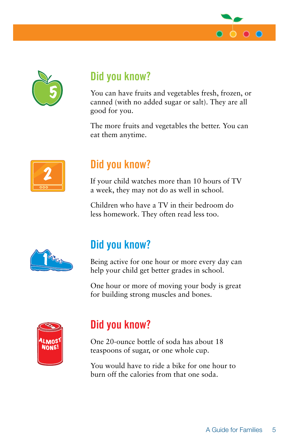



# **Did you know?**

You can have fruits and vegetables fresh, frozen, or canned (with no added sugar or salt). They are all good for you.

The more fruits and vegetables the better. You can eat them anytime.



# **Did you know?**

If your child watches more than 10 hours of TV a week, they may not do as well in school.

Children who have a TV in their bedroom do less homework. They often read less too.



# **Did you know?**

Being active for one hour or more every day can help your child get better grades in school.

One hour or more of moving your body is great for building strong muscles and bones.



# **Did you know?**

One 20-ounce bottle of soda has about 18 teaspoons of sugar, or one whole cup.

You would have to ride a bike for one hour to burn off the calories from that one soda.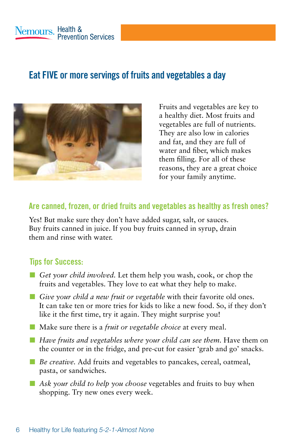# **Eat FIVE or more servings of fruits and vegetables a day**



Fruits and vegetables are key to a healthy diet. Most fruits and vegetables are full of nutrients. They are also low in calories and fat, and they are full of water and fiber, which makes them filling. For all of these reasons, they are a great choice for your family anytime.

#### **Are canned, frozen, or dried fruits and vegetables as healthy as fresh ones?**

Yes! But make sure they don't have added sugar, salt, or sauces. Buy fruits canned in juice. If you buy fruits canned in syrup, drain them and rinse with water.

- *Get your child involved*. Let them help you wash, cook, or chop the fruits and vegetables. They love to eat what they help to make.
- *Give your child a new fruit or vegetable* with their favorite old ones. It can take ten or more tries for kids to like a new food. So, if they don't like it the first time, try it again. They might surprise you!
- **n** Make sure there is a *fruit or vegetable choice* at every meal.
- n *Have fruits and vegetables where your child can see them.* Have them on the counter or in the fridge, and pre-cut for easier 'grab and go' snacks.
- *Be creative*. Add fruits and vegetables to pancakes, cereal, oatmeal, pasta, or sandwiches.
- **n** *Ask your child to help you choose* vegetables and fruits to buy when shopping. Try new ones every week.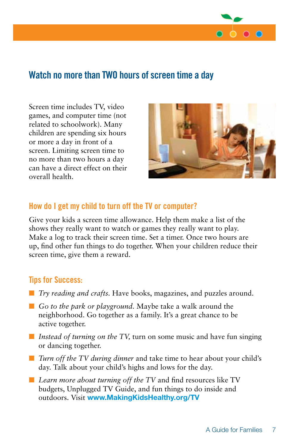

### **Watch no more than TWO hours of screen time a day**

Screen time includes TV, video games, and computer time (not related to schoolwork). Many children are spending six hours or more a day in front of a screen. Limiting screen time to no more than two hours a day can have a direct effect on their overall health.



#### **How do I get my child to turn off the TV or computer?**

Give your kids a screen time allowance. Help them make a list of the shows they really want to watch or games they really want to play. Make a log to track their screen time. Set a timer. Once two hours are up, find other fun things to do together. When your children reduce their screen time, give them a reward.

- *Try reading and crafts*. Have books, magazines, and puzzles around.
- *Go to the park or playground*. Maybe take a walk around the neighborhood. Go together as a family. It's a great chance to be active together.
- *Instead of turning on the TV*, turn on some music and have fun singing or dancing together.
- *Turn off the TV during dinner* and take time to hear about your child's day. Talk about your child's highs and lows for the day.
- *Learn more about turning off the TV* and find resources like TV budgets, Unplugged TV Guide, and fun things to do inside and outdoors. Visit **www.MakingKidsHealthy.org/TV**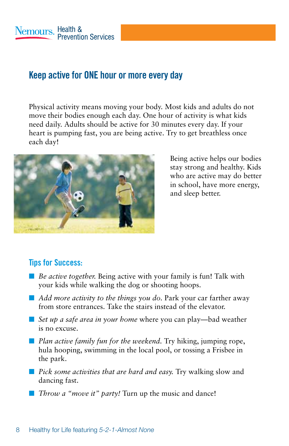### **Keep active for ONE hour or more every day**

Physical activity means moving your body. Most kids and adults do not move their bodies enough each day. One hour of activity is what kids need daily. Adults should be active for 30 minutes every day. If your heart is pumping fast, you are being active. Try to get breathless once each day!



Being active helps our bodies stay strong and healthy. Kids who are active may do better in school, have more energy, and sleep better.

- *Be active together*. Being active with your family is fun! Talk with your kids while walking the dog or shooting hoops.
- *Add more activity to the things you do.* Park your car farther away from store entrances. Take the stairs instead of the elevator.
- *Set up a safe area in your home* where you can play—bad weather is no excuse.
- **n** *Plan active family fun for the weekend*. Try hiking, jumping rope, hula hooping, swimming in the local pool, or tossing a Frisbee in the park.
- **n** *Pick some activities that are hard and easy.* Try walking slow and dancing fast.
- *Throw a "move it" party!* Turn up the music and dance!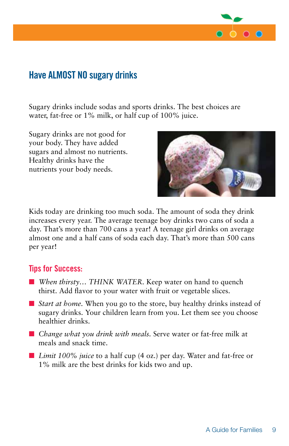

### **Have ALMOST NO sugary drinks**

Sugary drinks include sodas and sports drinks. The best choices are water, fat-free or 1% milk, or half cup of 100% juice.

Sugary drinks are not good for your body. They have added sugars and almost no nutrients. Healthy drinks have the nutrients your body needs.



Kids today are drinking too much soda. The amount of soda they drink increases every year. The average teenage boy drinks two cans of soda a day. That's more than 700 cans a year! A teenage girl drinks on average almost one and a half cans of soda each day. That's more than 500 cans per year!

- *When thirsty*... THINK WATER. Keep water on hand to quench thirst. Add flavor to your water with fruit or vegetable slices.
- *Start at home*. When you go to the store, buy healthy drinks instead of sugary drinks. Your children learn from you. Let them see you choose healthier drinks.
- *Change what you drink with meals*. Serve water or fat-free milk at meals and snack time.
- *Limit 100% juice* to a half cup (4 oz.) per day. Water and fat-free or 1% milk are the best drinks for kids two and up.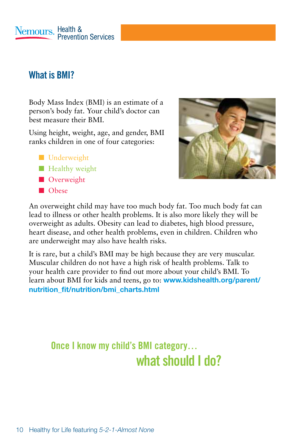Nemours, Health & **Prevention Services** 

### **What is BMI?**

Body Mass Index (BMI) is an estimate of a person's body fat. Your child's doctor can best measure their BMI.

Using height, weight, age, and gender, BMI ranks children in one of four categories:

- **n** Underweight
- $\blacksquare$  Healthy weight
- **n** Overweight
- n Obese



An overweight child may have too much body fat. Too much body fat can lead to illness or other health problems. It is also more likely they will be overweight as adults. Obesity can lead to diabetes, high blood pressure, heart disease, and other health problems, even in children. Children who are underweight may also have health risks.

It is rare, but a child's BMI may be high because they are very muscular. Muscular children do not have a high risk of health problems. Talk to your health care provider to find out more about your child's BMI. To learn about BMI for kids and teens, go to: **www.kidshealth.org/parent/ nutrition\_fit/nutrition/bmi\_charts.html**

# **Once I know my child's BMI category… what should I do?**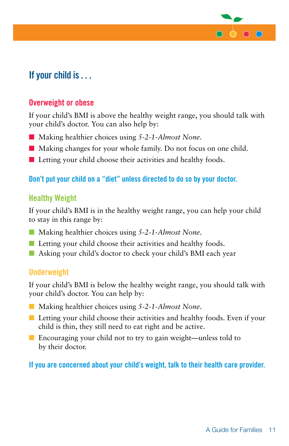

# **If your child is . . .**

#### **Overweight or obese**

If your child's BMI is above the healthy weight range, you should talk with your child's doctor. You can also help by:

- Making healthier choices using 5-2-1-Almost None.
- Making changes for your whole family. Do not focus on one child.
- $\blacksquare$  Letting your child choose their activities and healthy foods.

#### **Don't put your child on a "diet" unless directed to do so by your doctor.**

#### **Healthy Weight**

If your child's BMI is in the healthy weight range, you can help your child to stay in this range by:

- Making healthier choices using 5-2-1-Almost None.
- $\blacksquare$  Letting your child choose their activities and healthy foods.
- **n** Asking your child's doctor to check your child's BMI each year

#### **Underweight**

If your child's BMI is below the healthy weight range, you should talk with your child's doctor. You can help by:

- Making healthier choices using 5-2-1-Almost None.
- $\blacksquare$  Letting your child choose their activities and healthy foods. Even if your child is thin, they still need to eat right and be active.
- $\blacksquare$  Encouraging your child not to try to gain weight—unless told to by their doctor.

#### **If you are concerned about your child's weight, talk to their health care provider.**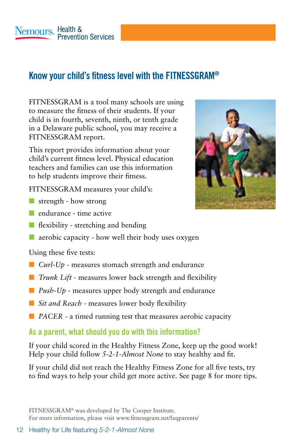# **Know your child's fitness level with the FITNESSGRAM®**

FITNESSGRAM is a tool many schools are using to measure the fitness of their students. If your child is in fourth, seventh, ninth, or tenth grade in a Delaware public school, you may receive a FITNESSGRAM report.

This report provides information about your child's current fitness level. Physical education teachers and families can use this information to help students improve their fitness.

FITNESSGRAM measures your child's:

- $\blacksquare$  strength how strong
- $\blacksquare$  endurance time active
- $\blacksquare$  flexibility stretching and bending
- $\blacksquare$  aerobic capacity how well their body uses oxygen

Using these five tests:

- $\Box$  *Curl-Up* measures stomach strength and endurance
- *Trunk Lift* measures lower back strength and flexibility
- **n** *Push-Up* measures upper body strength and endurance
- *Sit and Reach* measures lower body flexibility
- **n** *PACER* a timed running test that measures aerobic capacity

#### **As a parent, what should you do with this information?**

If your child scored in the Healthy Fitness Zone, keep up the good work! Help your child follow *5-2-1-Almost None* to stay healthy and fit.

If your child did not reach the Healthy Fitness Zone for all five tests, try to find ways to help your child get more active. See page 8 for more tips.

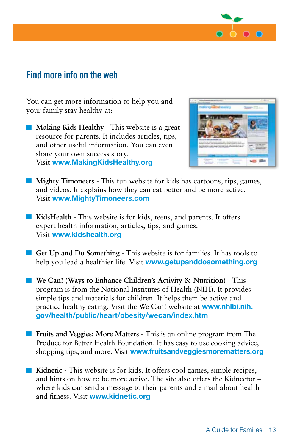

### **Find more info on the web**

You can get more information to help you and your family stay healthy at:

**n Making Kids Healthy** - This website is a great resource for parents. It includes articles, tips, and other useful information. You can even share your own success story. Visit **www.MakingKidsHealthy.org** 



- **n Mighty Timoneers** This fun website for kids has cartoons, tips, games, and videos. It explains how they can eat better and be more active. Visit **www.MightyTimoneers.com**
- KidsHealth This website is for kids, teens, and parents. It offers expert health information, articles, tips, and games. Visit **www.kidshealth.org**
- Get Up and Do Something This website is for families. It has tools to help you lead a healthier life. Visit **www.getupanddosomething.org**
- We Can! (Ways to Enhance Children's Activity & Nutrition) This program is from the National Institutes of Health (NIH). It provides simple tips and materials for children. It helps them be active and practice healthy eating. Visit the We Can! website at **www.nhlbi.nih. gov/health/public/heart/obesity/wecan/index.htm**
- **n Fruits and Veggies: More Matters** This is an online program from The Produce for Better Health Foundation. It has easy to use cooking advice, shopping tips, and more. Visit **www.fruitsandveggiesmorematters.org**
- Kidnetic This website is for kids. It offers cool games, simple recipes, and hints on how to be more active. The site also offers the Kidnector – where kids can send a message to their parents and e-mail about health and fitness. Visit **www.kidnetic.org**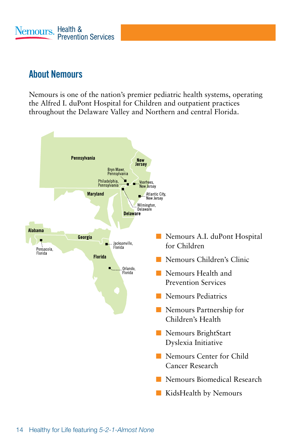# **About Nemours**

Nemours is one of the nation's premier pediatric health systems, operating the Alfred I. duPont Hospital for Children and outpatient practices throughout the Delaware Valley and Northern and central Florida.

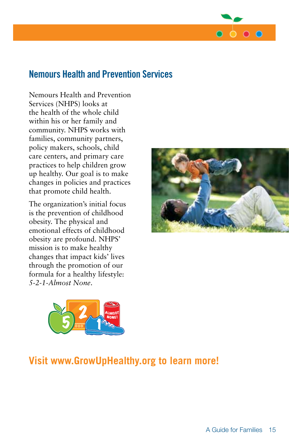

### **Nemours Health and Prevention Services**

Nemours Health and Prevention Services (NHPS) looks at the health of the whole child within his or her family and community. NHPS works with families, community partners, policy makers, schools, child care centers, and primary care practices to help children grow up healthy. Our goal is to make changes in policies and practices that promote child health.

The organization's initial focus is the prevention of childhood obesity. The physical and emotional effects of childhood obesity are profound. NHPS' mission is to make healthy changes that impact kids' lives through the promotion of our formula for a healthy lifestyle: *5-2-1-Almost None*.





# **Visit www.GrowUpHealthy.org to learn more!**